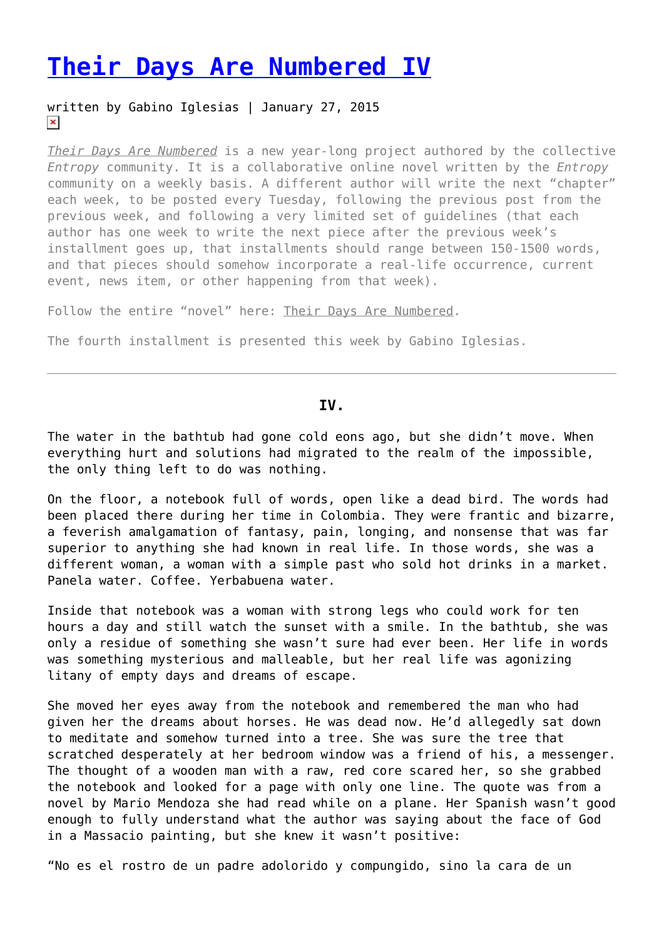## **[Their Days Are Numbered IV](https://entropymag.org/their-days-are-numbered-4/)**

## written by Gabino Iglesias | January 27, 2015  $\pmb{\times}$

*[Their Days Are Numbered](https://entropymag.org/tag/their-days-are-numbered)* is a new year-long project authored by the collective *Entropy* community. It is a collaborative online novel written by the *Entropy* community on a weekly basis. A different author will write the next "chapter" each week, to be posted every Tuesday, following the previous post from the previous week, and following a very limited set of guidelines (that each author has one week to write the next piece after the previous week's installment goes up, that installments should range between 150-1500 words, and that pieces should somehow incorporate a real-life occurrence, current event, news item, or other happening from that week).

Follow the entire "novel" here: [Their Days Are Numbered.](https://entropymag.org/tag/their-days-are-numbered)

The fourth installment is presented this week by Gabino Iglesias.

## **IV.**

The water in the bathtub had gone cold eons ago, but she didn't move. When everything hurt and solutions had migrated to the realm of the impossible, the only thing left to do was nothing.

On the floor, a notebook full of words, open like a dead bird. The words had been placed there during her time in Colombia. They were frantic and bizarre, a feverish amalgamation of fantasy, pain, longing, and nonsense that was far superior to anything she had known in real life. In those words, she was a different woman, a woman with a simple past who sold hot drinks in a market. Panela water. Coffee. Yerbabuena water.

Inside that notebook was a woman with strong legs who could work for ten hours a day and still watch the sunset with a smile. In the bathtub, she was only a residue of something she wasn't sure had ever been. Her life in words was something mysterious and malleable, but her real life was agonizing litany of empty days and dreams of escape.

She moved her eyes away from the notebook and remembered the man who had given her the dreams about horses. He was dead now. He'd allegedly sat down to meditate and somehow turned into a tree. She was sure the tree that scratched desperately at her bedroom window was a friend of his, a messenger. The thought of a wooden man with a raw, red core scared her, so she grabbed the notebook and looked for a page with only one line. The quote was from a novel by Mario Mendoza she had read while on a plane. Her Spanish wasn't good enough to fully understand what the author was saying about the face of God in a Massacio painting, but she knew it wasn't positive:

"No es el rostro de un padre adolorido y compungido, sino la cara de un